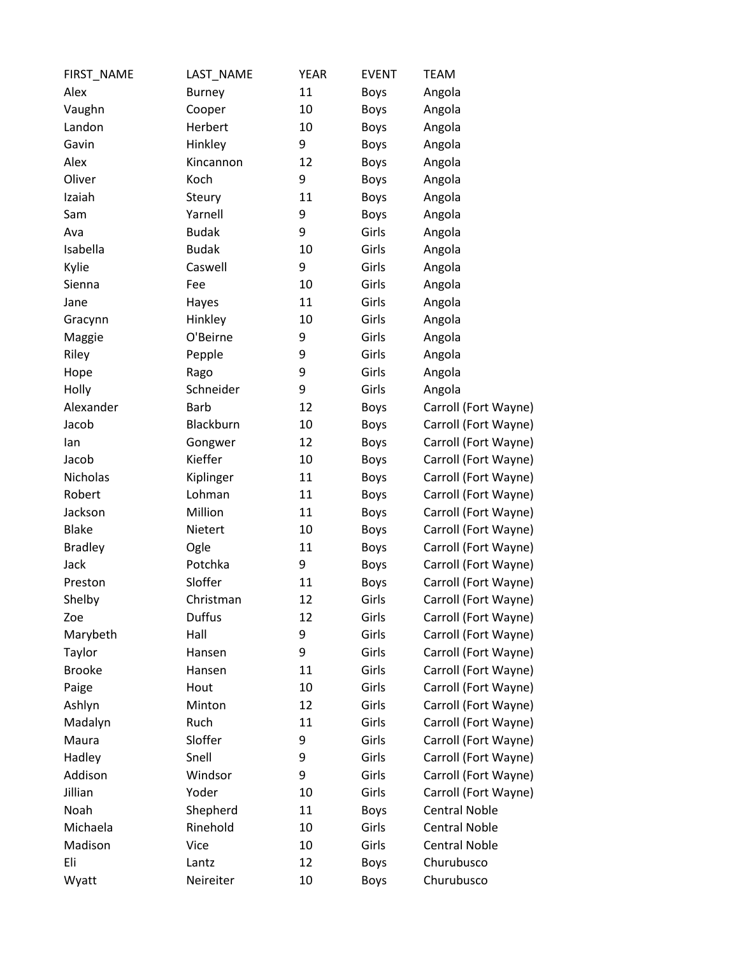| FIRST_NAME     | LAST_NAME     | <b>YEAR</b> | <b>EVENT</b> | <b>TEAM</b>          |
|----------------|---------------|-------------|--------------|----------------------|
| Alex           | <b>Burney</b> | 11          | <b>Boys</b>  | Angola               |
| Vaughn         | Cooper        | 10          | <b>Boys</b>  | Angola               |
| Landon         | Herbert       | 10          | <b>Boys</b>  | Angola               |
| Gavin          | Hinkley       | 9           | <b>Boys</b>  | Angola               |
| Alex           | Kincannon     | 12          | <b>Boys</b>  | Angola               |
| Oliver         | Koch          | 9           | Boys         | Angola               |
| Izaiah         | Steury        | 11          | <b>Boys</b>  | Angola               |
| Sam            | Yarnell       | 9           | <b>Boys</b>  | Angola               |
| Ava            | <b>Budak</b>  | 9           | Girls        | Angola               |
| Isabella       | <b>Budak</b>  | 10          | Girls        | Angola               |
| Kylie          | Caswell       | 9           | Girls        | Angola               |
| Sienna         | Fee           | 10          | Girls        | Angola               |
| Jane           | Hayes         | 11          | Girls        | Angola               |
| Gracynn        | Hinkley       | 10          | Girls        | Angola               |
| Maggie         | O'Beirne      | 9           | Girls        | Angola               |
| Riley          | Pepple        | 9           | Girls        | Angola               |
| Hope           | Rago          | 9           | Girls        | Angola               |
| Holly          | Schneider     | 9           | Girls        | Angola               |
| Alexander      | <b>Barb</b>   | 12          | <b>Boys</b>  | Carroll (Fort Wayne) |
| Jacob          | Blackburn     | 10          | <b>Boys</b>  | Carroll (Fort Wayne) |
| lan            | Gongwer       | 12          | <b>Boys</b>  | Carroll (Fort Wayne) |
| Jacob          | Kieffer       | 10          | <b>Boys</b>  | Carroll (Fort Wayne) |
| Nicholas       | Kiplinger     | 11          | <b>Boys</b>  | Carroll (Fort Wayne) |
| Robert         | Lohman        | 11          | <b>Boys</b>  | Carroll (Fort Wayne) |
| Jackson        | Million       | 11          | <b>Boys</b>  | Carroll (Fort Wayne) |
| <b>Blake</b>   | Nietert       | 10          | <b>Boys</b>  | Carroll (Fort Wayne) |
| <b>Bradley</b> | Ogle          | 11          | <b>Boys</b>  | Carroll (Fort Wayne) |
| Jack           | Potchka       | 9           | <b>Boys</b>  | Carroll (Fort Wayne) |
| Preston        | Sloffer       | 11          | <b>Boys</b>  | Carroll (Fort Wayne) |
| Shelby         | Christman     | 12          | Girls        | Carroll (Fort Wayne) |
| Zoe            | <b>Duffus</b> | 12          | Girls        | Carroll (Fort Wayne) |
| Marybeth       | Hall          | 9           | Girls        | Carroll (Fort Wayne) |
| Taylor         | Hansen        | 9           | Girls        | Carroll (Fort Wayne) |
| <b>Brooke</b>  | Hansen        | 11          | Girls        | Carroll (Fort Wayne) |
| Paige          | Hout          | 10          | Girls        | Carroll (Fort Wayne) |
| Ashlyn         | Minton        | 12          | Girls        | Carroll (Fort Wayne) |
| Madalyn        | Ruch          | 11          | Girls        | Carroll (Fort Wayne) |
| Maura          | Sloffer       | 9           | Girls        | Carroll (Fort Wayne) |
| Hadley         | Snell         | 9           | Girls        | Carroll (Fort Wayne) |
| Addison        | Windsor       | 9           | Girls        | Carroll (Fort Wayne) |
| Jillian        | Yoder         | 10          | Girls        | Carroll (Fort Wayne) |
| Noah           | Shepherd      | 11          | <b>Boys</b>  | <b>Central Noble</b> |
| Michaela       | Rinehold      | 10          | Girls        | <b>Central Noble</b> |
| Madison        | Vice          | 10          | Girls        | <b>Central Noble</b> |
| Eli            | Lantz         | 12          | <b>Boys</b>  | Churubusco           |
| Wyatt          | Neireiter     | 10          | <b>Boys</b>  | Churubusco           |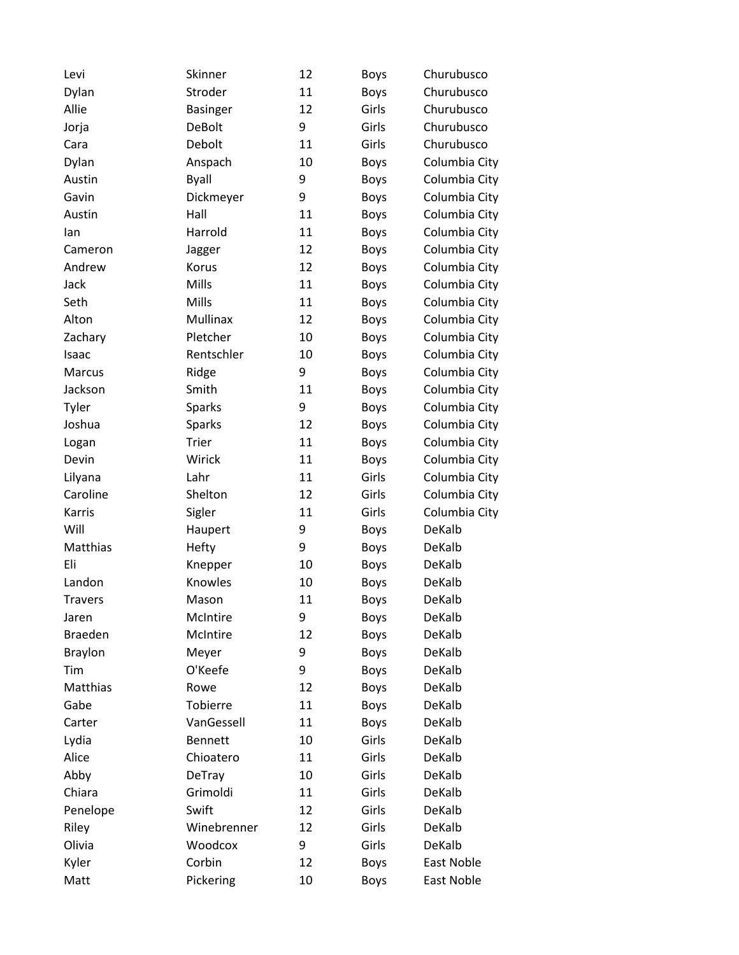| Levi           | Skinner         | 12 | <b>Boys</b> | Churubusco    |
|----------------|-----------------|----|-------------|---------------|
| Dylan          | Stroder         | 11 | <b>Boys</b> | Churubusco    |
| Allie          | <b>Basinger</b> | 12 | Girls       | Churubusco    |
| Jorja          | <b>DeBolt</b>   | 9  | Girls       | Churubusco    |
| Cara           | Debolt          | 11 | Girls       | Churubusco    |
| Dylan          | Anspach         | 10 | <b>Boys</b> | Columbia City |
| Austin         | <b>Byall</b>    | 9  | Boys        | Columbia City |
| Gavin          | Dickmeyer       | 9  | <b>Boys</b> | Columbia City |
| Austin         | Hall            | 11 | <b>Boys</b> | Columbia City |
| lan            | Harrold         | 11 | <b>Boys</b> | Columbia City |
| Cameron        | Jagger          | 12 | <b>Boys</b> | Columbia City |
| Andrew         | Korus           | 12 | <b>Boys</b> | Columbia City |
| Jack           | Mills           | 11 | <b>Boys</b> | Columbia City |
| Seth           | Mills           | 11 | <b>Boys</b> | Columbia City |
| Alton          | Mullinax        | 12 | <b>Boys</b> | Columbia City |
| Zachary        | Pletcher        | 10 | <b>Boys</b> | Columbia City |
| Isaac          | Rentschler      | 10 | <b>Boys</b> | Columbia City |
| Marcus         | Ridge           | 9  | <b>Boys</b> | Columbia City |
| Jackson        | Smith           | 11 | Boys        | Columbia City |
| Tyler          | <b>Sparks</b>   | 9  | <b>Boys</b> | Columbia City |
| Joshua         | <b>Sparks</b>   | 12 | <b>Boys</b> | Columbia City |
| Logan          | Trier           | 11 | <b>Boys</b> | Columbia City |
| Devin          | Wirick          | 11 | <b>Boys</b> | Columbia City |
| Lilyana        | Lahr            | 11 | Girls       | Columbia City |
| Caroline       | Shelton         | 12 | Girls       | Columbia City |
| Karris         | Sigler          | 11 | Girls       | Columbia City |
| Will           | Haupert         | 9  | <b>Boys</b> | DeKalb        |
| Matthias       | Hefty           | 9  | <b>Boys</b> | DeKalb        |
| Eli            | Knepper         | 10 | <b>Boys</b> | DeKalb        |
| Landon         | Knowles         | 10 | <b>Boys</b> | DeKalb        |
| <b>Travers</b> | Mason           | 11 | <b>Boys</b> | DeKalb        |
| Jaren          | McIntire        | 9  | <b>Boys</b> | DeKalb        |
| <b>Braeden</b> | McIntire        | 12 | Boys        | DeKalb        |
| <b>Braylon</b> | Meyer           | 9  | <b>Boys</b> | DeKalb        |
| Tim            | O'Keefe         | 9  | <b>Boys</b> | DeKalb        |
| Matthias       | Rowe            | 12 | <b>Boys</b> | DeKalb        |
| Gabe           | Tobierre        | 11 | Boys        | DeKalb        |
| Carter         | VanGessell      | 11 | <b>Boys</b> | DeKalb        |
| Lydia          | <b>Bennett</b>  | 10 | Girls       | DeKalb        |
| Alice          | Chioatero       | 11 | Girls       | DeKalb        |
| Abby           | <b>DeTray</b>   | 10 | Girls       | DeKalb        |
| Chiara         | Grimoldi        | 11 | Girls       | DeKalb        |
| Penelope       | Swift           | 12 | Girls       | DeKalb        |
| Riley          | Winebrenner     | 12 | Girls       | DeKalb        |
| Olivia         | Woodcox         | 9  | Girls       | DeKalb        |
| Kyler          | Corbin          | 12 | Boys        | East Noble    |
| Matt           | Pickering       | 10 | <b>Boys</b> | East Noble    |
|                |                 |    |             |               |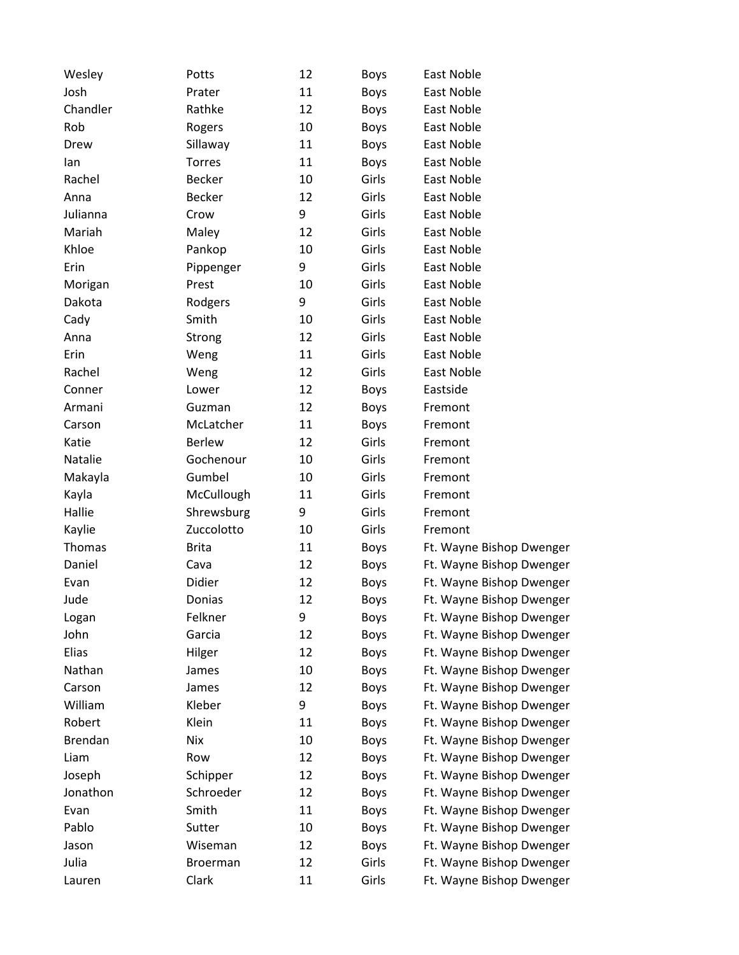| Wesley         | Potts           | 12 | Boys        | <b>East Noble</b>        |
|----------------|-----------------|----|-------------|--------------------------|
| Josh           | Prater          | 11 | <b>Boys</b> | East Noble               |
| Chandler       | Rathke          | 12 | <b>Boys</b> | <b>East Noble</b>        |
| Rob            | Rogers          | 10 | <b>Boys</b> | East Noble               |
| Drew           | Sillaway        | 11 | <b>Boys</b> | East Noble               |
| lan            | <b>Torres</b>   | 11 | <b>Boys</b> | East Noble               |
| Rachel         | Becker          | 10 | Girls       | East Noble               |
| Anna           | <b>Becker</b>   | 12 | Girls       | East Noble               |
| Julianna       | Crow            | 9  | Girls       | East Noble               |
| Mariah         | Maley           | 12 | Girls       | East Noble               |
| Khloe          | Pankop          | 10 | Girls       | East Noble               |
| Erin           | Pippenger       | 9  | Girls       | East Noble               |
| Morigan        | Prest           | 10 | Girls       | East Noble               |
| Dakota         | Rodgers         | 9  | Girls       | East Noble               |
| Cady           | Smith           | 10 | Girls       | East Noble               |
| Anna           | Strong          | 12 | Girls       | <b>East Noble</b>        |
| Erin           | Weng            | 11 | Girls       | East Noble               |
| Rachel         | Weng            | 12 | Girls       | East Noble               |
| Conner         | Lower           | 12 | <b>Boys</b> | Eastside                 |
| Armani         | Guzman          | 12 | <b>Boys</b> | Fremont                  |
| Carson         | McLatcher       | 11 | <b>Boys</b> | Fremont                  |
| Katie          | <b>Berlew</b>   | 12 | Girls       | Fremont                  |
| Natalie        | Gochenour       | 10 | Girls       | Fremont                  |
| Makayla        | Gumbel          | 10 | Girls       | Fremont                  |
| Kayla          | McCullough      | 11 | Girls       | Fremont                  |
| Hallie         | Shrewsburg      | 9  | Girls       | Fremont                  |
| Kaylie         | Zuccolotto      | 10 | Girls       | Fremont                  |
| Thomas         | <b>Brita</b>    | 11 | <b>Boys</b> | Ft. Wayne Bishop Dwenger |
| Daniel         | Cava            | 12 | <b>Boys</b> | Ft. Wayne Bishop Dwenger |
| Evan           | Didier          | 12 | <b>Boys</b> | Ft. Wayne Bishop Dwenger |
| Jude           | Donias          | 12 | <b>Boys</b> | Ft. Wayne Bishop Dwenger |
| Logan          | Felkner         | 9  | <b>Boys</b> | Ft. Wayne Bishop Dwenger |
| John           | Garcia          | 12 | <b>Boys</b> | Ft. Wayne Bishop Dwenger |
| Elias          | Hilger          | 12 | <b>Boys</b> | Ft. Wayne Bishop Dwenger |
| Nathan         | James           | 10 | <b>Boys</b> | Ft. Wayne Bishop Dwenger |
| Carson         | James           | 12 | <b>Boys</b> | Ft. Wayne Bishop Dwenger |
| William        | Kleber          | 9  | <b>Boys</b> | Ft. Wayne Bishop Dwenger |
| Robert         | Klein           | 11 | <b>Boys</b> | Ft. Wayne Bishop Dwenger |
| <b>Brendan</b> | <b>Nix</b>      | 10 | <b>Boys</b> | Ft. Wayne Bishop Dwenger |
| Liam           | Row             | 12 | <b>Boys</b> | Ft. Wayne Bishop Dwenger |
| Joseph         | Schipper        | 12 | <b>Boys</b> | Ft. Wayne Bishop Dwenger |
| Jonathon       | Schroeder       | 12 | <b>Boys</b> | Ft. Wayne Bishop Dwenger |
| Evan           | Smith           | 11 | <b>Boys</b> | Ft. Wayne Bishop Dwenger |
| Pablo          | Sutter          | 10 | <b>Boys</b> | Ft. Wayne Bishop Dwenger |
| Jason          | Wiseman         | 12 | <b>Boys</b> | Ft. Wayne Bishop Dwenger |
| Julia          | <b>Broerman</b> | 12 | Girls       | Ft. Wayne Bishop Dwenger |
| Lauren         | Clark           | 11 | Girls       | Ft. Wayne Bishop Dwenger |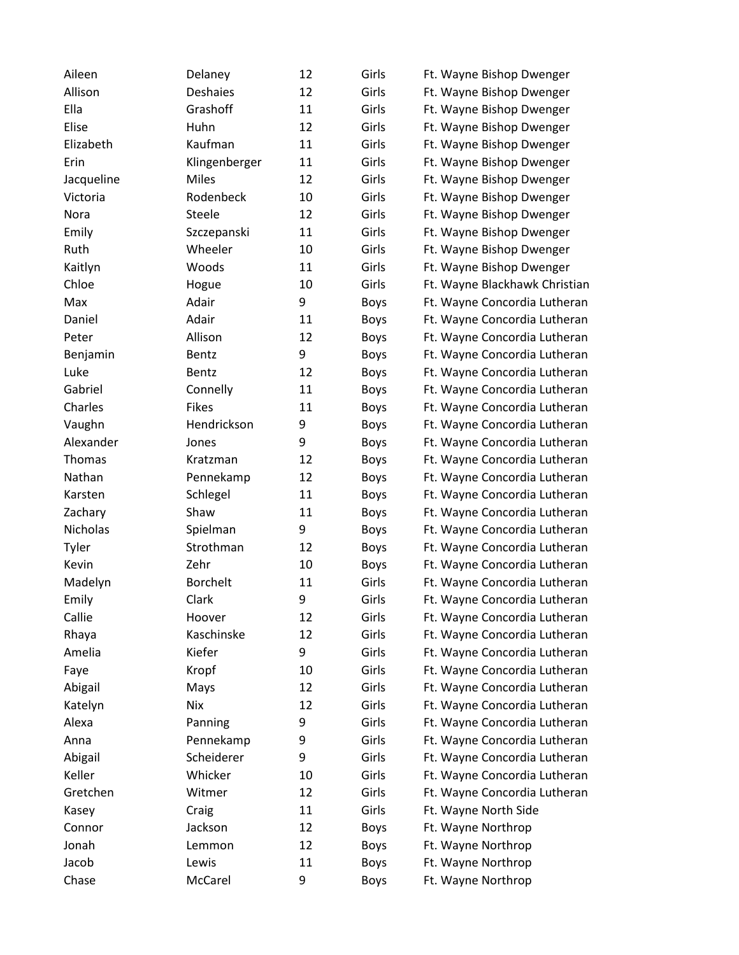| Aileen     | Delaney         | 12 | Girls       | Ft. Wayne Bishop Dwenger      |
|------------|-----------------|----|-------------|-------------------------------|
| Allison    | <b>Deshaies</b> | 12 | Girls       | Ft. Wayne Bishop Dwenger      |
| Ella       | Grashoff        | 11 | Girls       | Ft. Wayne Bishop Dwenger      |
| Elise      | Huhn            | 12 | Girls       | Ft. Wayne Bishop Dwenger      |
| Elizabeth  | Kaufman         | 11 | Girls       | Ft. Wayne Bishop Dwenger      |
| Erin       | Klingenberger   | 11 | Girls       | Ft. Wayne Bishop Dwenger      |
| Jacqueline | Miles           | 12 | Girls       | Ft. Wayne Bishop Dwenger      |
| Victoria   | Rodenbeck       | 10 | Girls       | Ft. Wayne Bishop Dwenger      |
| Nora       | Steele          | 12 | Girls       | Ft. Wayne Bishop Dwenger      |
| Emily      | Szczepanski     | 11 | Girls       | Ft. Wayne Bishop Dwenger      |
| Ruth       | Wheeler         | 10 | Girls       | Ft. Wayne Bishop Dwenger      |
| Kaitlyn    | Woods           | 11 | Girls       | Ft. Wayne Bishop Dwenger      |
| Chloe      | Hogue           | 10 | Girls       | Ft. Wayne Blackhawk Christian |
| Max        | Adair           | 9  | <b>Boys</b> | Ft. Wayne Concordia Lutheran  |
| Daniel     | Adair           | 11 | <b>Boys</b> | Ft. Wayne Concordia Lutheran  |
| Peter      | Allison         | 12 | <b>Boys</b> | Ft. Wayne Concordia Lutheran  |
| Benjamin   | Bentz           | 9  | <b>Boys</b> | Ft. Wayne Concordia Lutheran  |
| Luke       | Bentz           | 12 | <b>Boys</b> | Ft. Wayne Concordia Lutheran  |
| Gabriel    | Connelly        | 11 | <b>Boys</b> | Ft. Wayne Concordia Lutheran  |
| Charles    | <b>Fikes</b>    | 11 | <b>Boys</b> | Ft. Wayne Concordia Lutheran  |
| Vaughn     | Hendrickson     | 9  | <b>Boys</b> | Ft. Wayne Concordia Lutheran  |
| Alexander  | Jones           | 9  | <b>Boys</b> | Ft. Wayne Concordia Lutheran  |
| Thomas     | Kratzman        | 12 | <b>Boys</b> | Ft. Wayne Concordia Lutheran  |
| Nathan     | Pennekamp       | 12 | <b>Boys</b> | Ft. Wayne Concordia Lutheran  |
| Karsten    | Schlegel        | 11 | <b>Boys</b> | Ft. Wayne Concordia Lutheran  |
| Zachary    | Shaw            | 11 | <b>Boys</b> | Ft. Wayne Concordia Lutheran  |
| Nicholas   | Spielman        | 9  | <b>Boys</b> | Ft. Wayne Concordia Lutheran  |
| Tyler      | Strothman       | 12 | <b>Boys</b> | Ft. Wayne Concordia Lutheran  |
| Kevin      | Zehr            | 10 | <b>Boys</b> | Ft. Wayne Concordia Lutheran  |
| Madelyn    | <b>Borchelt</b> | 11 | Girls       | Ft. Wayne Concordia Lutheran  |
| Emily      | Clark           | 9  | Girls       | Ft. Wayne Concordia Lutheran  |
| Callie     | Hoover          | 12 | Girls       | Ft. Wayne Concordia Lutheran  |
| Rhaya      | Kaschinske      | 12 | Girls       | Ft. Wayne Concordia Lutheran  |
| Amelia     | Kiefer          | 9  | Girls       | Ft. Wayne Concordia Lutheran  |
| Faye       | Kropf           | 10 | Girls       | Ft. Wayne Concordia Lutheran  |
| Abigail    | Mays            | 12 | Girls       | Ft. Wayne Concordia Lutheran  |
| Katelyn    | <b>Nix</b>      | 12 | Girls       | Ft. Wayne Concordia Lutheran  |
| Alexa      | Panning         | 9  | Girls       | Ft. Wayne Concordia Lutheran  |
| Anna       | Pennekamp       | 9  | Girls       | Ft. Wayne Concordia Lutheran  |
| Abigail    | Scheiderer      | 9  | Girls       | Ft. Wayne Concordia Lutheran  |
| Keller     | Whicker         | 10 | Girls       | Ft. Wayne Concordia Lutheran  |
| Gretchen   | Witmer          | 12 | Girls       | Ft. Wayne Concordia Lutheran  |
| Kasey      | Craig           | 11 | Girls       | Ft. Wayne North Side          |
| Connor     | Jackson         | 12 | <b>Boys</b> | Ft. Wayne Northrop            |
| Jonah      | Lemmon          | 12 | <b>Boys</b> | Ft. Wayne Northrop            |
| Jacob      | Lewis           | 11 | <b>Boys</b> | Ft. Wayne Northrop            |
| Chase      | McCarel         | 9  | <b>Boys</b> | Ft. Wayne Northrop            |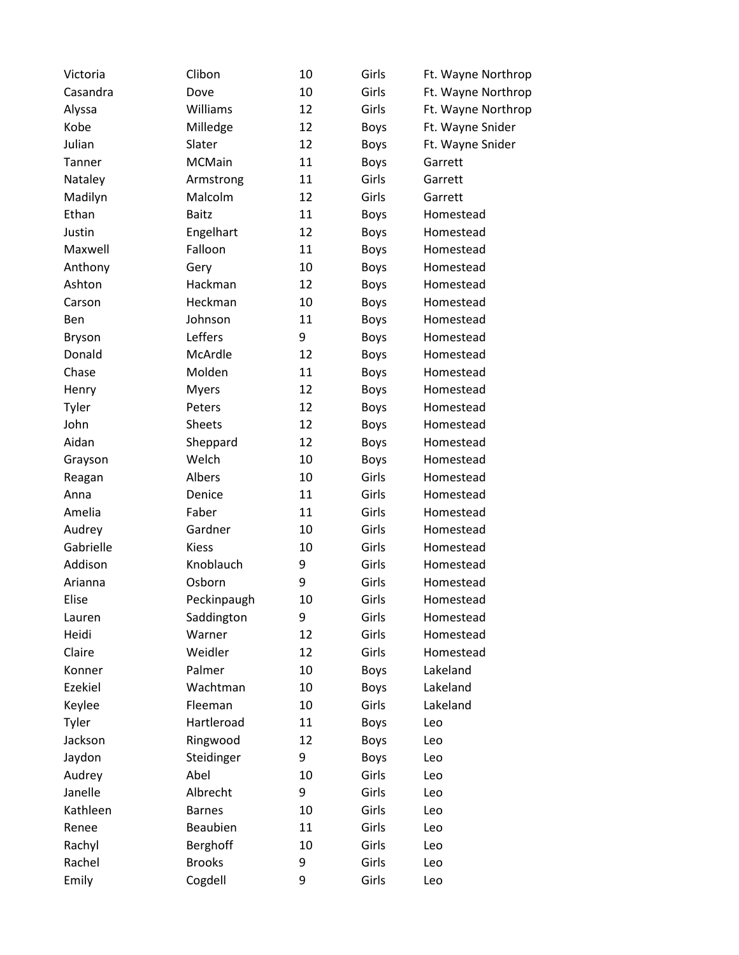| Victoria      | Clibon        | 10 | Girls       | Ft. Wayne Northrop |
|---------------|---------------|----|-------------|--------------------|
| Casandra      | Dove          | 10 | Girls       | Ft. Wayne Northrop |
| Alyssa        | Williams      | 12 | Girls       | Ft. Wayne Northrop |
| Kobe          | Milledge      | 12 | <b>Boys</b> | Ft. Wayne Snider   |
| Julian        | Slater        | 12 | <b>Boys</b> | Ft. Wayne Snider   |
| Tanner        | <b>MCMain</b> | 11 | <b>Boys</b> | Garrett            |
| Nataley       | Armstrong     | 11 | Girls       | Garrett            |
| Madilyn       | Malcolm       | 12 | Girls       | Garrett            |
| Ethan         | <b>Baitz</b>  | 11 | <b>Boys</b> | Homestead          |
| Justin        | Engelhart     | 12 | <b>Boys</b> | Homestead          |
| Maxwell       | Falloon       | 11 | <b>Boys</b> | Homestead          |
| Anthony       | Gery          | 10 | <b>Boys</b> | Homestead          |
| Ashton        | Hackman       | 12 | <b>Boys</b> | Homestead          |
| Carson        | Heckman       | 10 | <b>Boys</b> | Homestead          |
| Ben           | Johnson       | 11 | <b>Boys</b> | Homestead          |
| <b>Bryson</b> | Leffers       | 9  | <b>Boys</b> | Homestead          |
| Donald        | McArdle       | 12 | <b>Boys</b> | Homestead          |
| Chase         | Molden        | 11 | <b>Boys</b> | Homestead          |
| Henry         | <b>Myers</b>  | 12 | <b>Boys</b> | Homestead          |
| Tyler         | Peters        | 12 | <b>Boys</b> | Homestead          |
| John          | <b>Sheets</b> | 12 | <b>Boys</b> | Homestead          |
| Aidan         | Sheppard      | 12 | <b>Boys</b> | Homestead          |
| Grayson       | Welch         | 10 | <b>Boys</b> | Homestead          |
| Reagan        | Albers        | 10 | Girls       | Homestead          |
| Anna          | Denice        | 11 | Girls       | Homestead          |
| Amelia        | Faber         | 11 | Girls       | Homestead          |
| Audrey        | Gardner       | 10 | Girls       | Homestead          |
| Gabrielle     | <b>Kiess</b>  | 10 | Girls       | Homestead          |
| Addison       | Knoblauch     | 9  | Girls       | Homestead          |
| Arianna       | Osborn        | 9  | Girls       | Homestead          |
| Elise         | Peckinpaugh   | 10 | Girls       | Homestead          |
| Lauren        | Saddington    | 9  | Girls       | Homestead          |
| Heidi         | Warner        | 12 | Girls       | Homestead          |
| Claire        | Weidler       | 12 | Girls       | Homestead          |
| Konner        | Palmer        | 10 | <b>Boys</b> | Lakeland           |
| Ezekiel       | Wachtman      | 10 | <b>Boys</b> | Lakeland           |
| Keylee        | Fleeman       | 10 | Girls       | Lakeland           |
| Tyler         | Hartleroad    | 11 | Boys        | Leo                |
| Jackson       | Ringwood      | 12 | <b>Boys</b> | Leo                |
| Jaydon        | Steidinger    | 9  | <b>Boys</b> | Leo                |
| Audrey        | Abel          | 10 | Girls       | Leo                |
| Janelle       | Albrecht      | 9  | Girls       | Leo                |
| Kathleen      | <b>Barnes</b> | 10 | Girls       | Leo                |
| Renee         | Beaubien      | 11 | Girls       | Leo                |
| Rachyl        | Berghoff      | 10 | Girls       | Leo                |
| Rachel        | <b>Brooks</b> | 9  | Girls       | Leo                |
| Emily         | Cogdell       | 9  | Girls       | Leo                |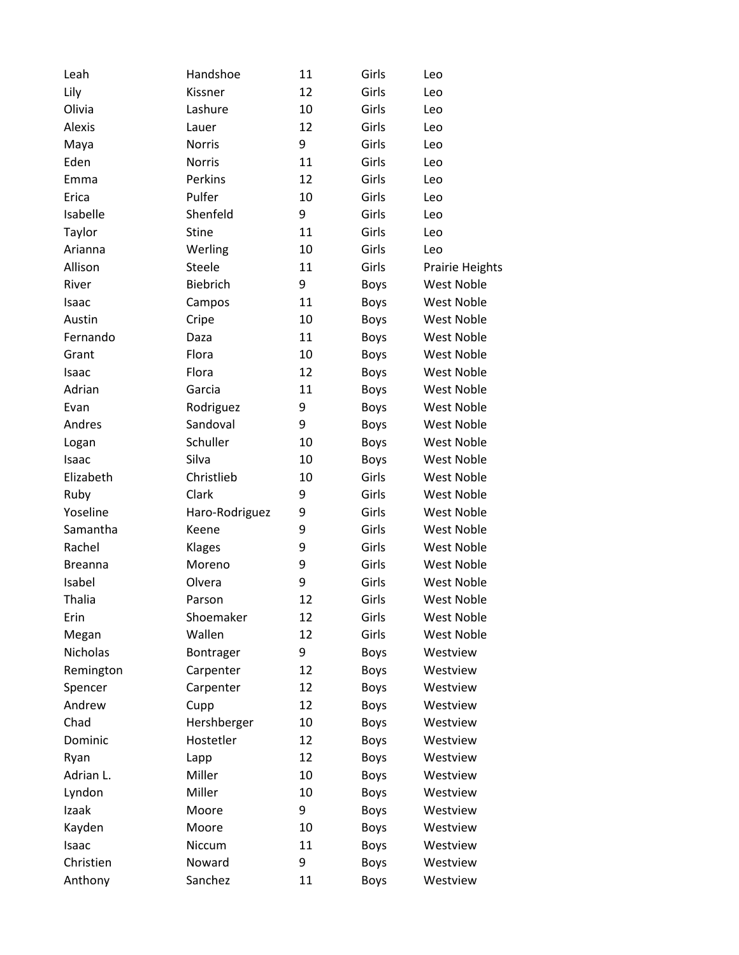| Leah           | Handshoe       | 11 | Girls       | Leo               |
|----------------|----------------|----|-------------|-------------------|
| Lily           | Kissner        | 12 | Girls       | Leo               |
| Olivia         | Lashure        | 10 | Girls       | Leo               |
| <b>Alexis</b>  | Lauer          | 12 | Girls       | Leo               |
| Maya           | <b>Norris</b>  | 9  | Girls       | Leo               |
| Eden           | <b>Norris</b>  | 11 | Girls       | Leo               |
| Emma           | Perkins        | 12 | Girls       | Leo               |
| Erica          | Pulfer         | 10 | Girls       | Leo               |
| Isabelle       | Shenfeld       | 9  | Girls       | Leo               |
| Taylor         | <b>Stine</b>   | 11 | Girls       | Leo               |
| Arianna        | Werling        | 10 | Girls       | Leo               |
| Allison        | Steele         | 11 | Girls       | Prairie Heights   |
| River          | Biebrich       | 9  | <b>Boys</b> | West Noble        |
| Isaac          | Campos         | 11 | <b>Boys</b> | <b>West Noble</b> |
| Austin         | Cripe          | 10 | <b>Boys</b> | <b>West Noble</b> |
| Fernando       | Daza           | 11 | <b>Boys</b> | <b>West Noble</b> |
| Grant          | Flora          | 10 | <b>Boys</b> | <b>West Noble</b> |
| Isaac          | Flora          | 12 | <b>Boys</b> | <b>West Noble</b> |
| Adrian         | Garcia         | 11 | <b>Boys</b> | <b>West Noble</b> |
| Evan           | Rodriguez      | 9  | <b>Boys</b> | West Noble        |
| Andres         | Sandoval       | 9  | <b>Boys</b> | <b>West Noble</b> |
| Logan          | Schuller       | 10 | <b>Boys</b> | <b>West Noble</b> |
| Isaac          | Silva          | 10 | <b>Boys</b> | <b>West Noble</b> |
| Elizabeth      | Christlieb     | 10 | Girls       | <b>West Noble</b> |
| Ruby           | Clark          | 9  | Girls       | <b>West Noble</b> |
| Yoseline       | Haro-Rodriguez | 9  | Girls       | <b>West Noble</b> |
| Samantha       | Keene          | 9  | Girls       | West Noble        |
| Rachel         | Klages         | 9  | Girls       | <b>West Noble</b> |
| <b>Breanna</b> | Moreno         | 9  | Girls       | <b>West Noble</b> |
| Isabel         | Olvera         | 9  | Girls       | <b>West Noble</b> |
| <b>Thalia</b>  | Parson         | 12 | Girls       | <b>West Noble</b> |
| Erin           | Shoemaker      | 12 | Girls       | West Noble        |
| Megan          | Wallen         | 12 | Girls       | <b>West Noble</b> |
| Nicholas       | Bontrager      | 9  | <b>Boys</b> | Westview          |
| Remington      | Carpenter      | 12 | <b>Boys</b> | Westview          |
| Spencer        | Carpenter      | 12 | <b>Boys</b> | Westview          |
| Andrew         | Cupp           | 12 | <b>Boys</b> | Westview          |
| Chad           | Hershberger    | 10 | <b>Boys</b> | Westview          |
| Dominic        | Hostetler      | 12 | <b>Boys</b> | Westview          |
| Ryan           | Lapp           | 12 | <b>Boys</b> | Westview          |
| Adrian L.      | Miller         | 10 | <b>Boys</b> | Westview          |
| Lyndon         | Miller         | 10 | <b>Boys</b> | Westview          |
| Izaak          | Moore          | 9  | <b>Boys</b> | Westview          |
| Kayden         | Moore          | 10 | <b>Boys</b> | Westview          |
| Isaac          | Niccum         | 11 | <b>Boys</b> | Westview          |
| Christien      | Noward         | 9  | <b>Boys</b> | Westview          |
| Anthony        | Sanchez        | 11 | <b>Boys</b> | Westview          |